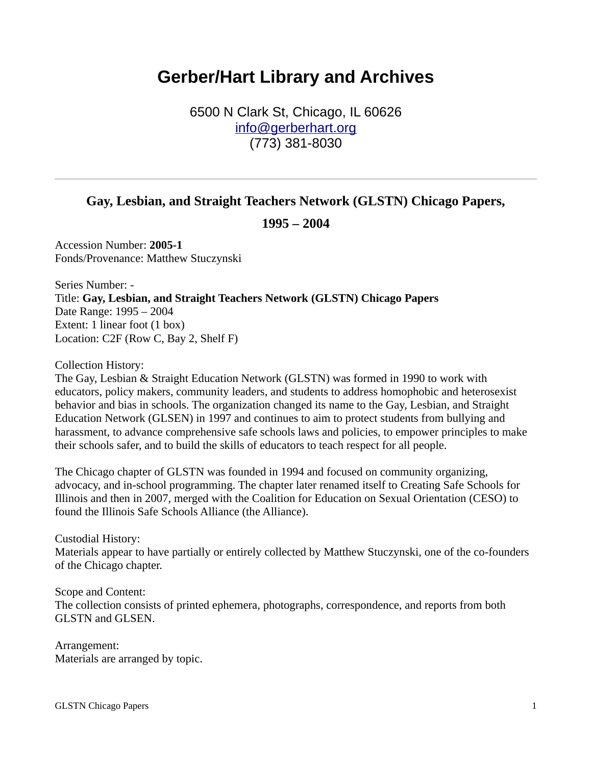## **Gerber/Hart Library and Archives**

6500 N Clark St, Chicago, IL 60626 [info@gerberhart.org](mailto:info@gerberhart.org) (773) 381-8030

## **Gay, Lesbian, and Straight Teachers Network (GLSTN) Chicago Papers,**

**1995 – 2004**

Accession Number: **2005-1** Fonds/Provenance: Matthew Stuczynski

Series Number: - Title: **Gay, Lesbian, and Straight Teachers Network (GLSTN) Chicago Papers** Date Range: 1995 – 2004 Extent: 1 linear foot (1 box) Location: C2F (Row C, Bay 2, Shelf F)

Collection History:

The Gay, Lesbian & Straight Education Network (GLSTN) was formed in 1990 to work with educators, policy makers, community leaders, and students to address homophobic and heterosexist behavior and bias in schools. The organization changed its name to the Gay, Lesbian, and Straight Education Network (GLSEN) in 1997 and continues to aim to protect students from bullying and harassment, to advance comprehensive safe schools laws and policies, to empower principles to make their schools safer, and to build the skills of educators to teach respect for all people.

The Chicago chapter of GLSTN was founded in 1994 and focused on community organizing, advocacy, and in-school programming. The chapter later renamed itself to Creating Safe Schools for Illinois and then in 2007, merged with the Coalition for Education on Sexual Orientation (CESO) to found the Illinois Safe Schools Alliance (the Alliance).

Custodial History: Materials appear to have partially or entirely collected by Matthew Stuczynski, one of the co-founders of the Chicago chapter.

Scope and Content: The collection consists of printed ephemera, photographs, correspondence, and reports from both GLSTN and GLSEN.

Arrangement: Materials are arranged by topic.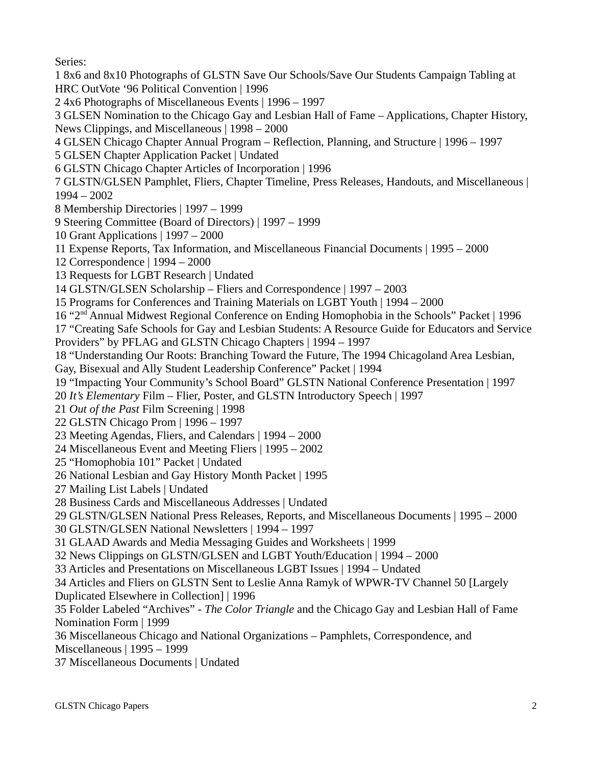Series: 1 8x6 and 8x10 Photographs of GLSTN Save Our Schools/Save Our Students Campaign Tabling at HRC OutVote '96 Political Convention | 1996 2 4x6 Photographs of Miscellaneous Events | 1996 – 1997 3 GLSEN Nomination to the Chicago Gay and Lesbian Hall of Fame – Applications, Chapter History, News Clippings, and Miscellaneous | 1998 – 2000 4 GLSEN Chicago Chapter Annual Program – Reflection, Planning, and Structure | 1996 – 1997 5 GLSEN Chapter Application Packet | Undated 6 GLSTN Chicago Chapter Articles of Incorporation | 1996 7 GLSTN/GLSEN Pamphlet, Fliers, Chapter Timeline, Press Releases, Handouts, and Miscellaneous | 1994 – 2002 8 Membership Directories | 1997 – 1999 9 Steering Committee (Board of Directors) | 1997 – 1999 10 Grant Applications | 1997 – 2000 11 Expense Reports, Tax Information, and Miscellaneous Financial Documents | 1995 – 2000 12 Correspondence | 1994 – 2000 13 Requests for LGBT Research | Undated 14 GLSTN/GLSEN Scholarship – Fliers and Correspondence | 1997 – 2003 15 Programs for Conferences and Training Materials on LGBT Youth | 1994 – 2000 16 "2nd Annual Midwest Regional Conference on Ending Homophobia in the Schools" Packet | 1996 17 "Creating Safe Schools for Gay and Lesbian Students: A Resource Guide for Educators and Service Providers" by PFLAG and GLSTN Chicago Chapters | 1994 – 1997 18 "Understanding Our Roots: Branching Toward the Future, The 1994 Chicagoland Area Lesbian,

Gay, Bisexual and Ally Student Leadership Conference" Packet | 1994

19 "Impacting Your Community's School Board" GLSTN National Conference Presentation | 1997

20 *It's Elementary* Film – Flier, Poster, and GLSTN Introductory Speech | 1997

21 *Out of the Past* Film Screening | 1998

22 GLSTN Chicago Prom | 1996 – 1997

23 Meeting Agendas, Fliers, and Calendars | 1994 – 2000

24 Miscellaneous Event and Meeting Fliers | 1995 – 2002

25 "Homophobia 101" Packet | Undated

26 National Lesbian and Gay History Month Packet | 1995

27 Mailing List Labels | Undated

28 Business Cards and Miscellaneous Addresses | Undated

29 GLSTN/GLSEN National Press Releases, Reports, and Miscellaneous Documents | 1995 – 2000

30 GLSTN/GLSEN National Newsletters | 1994 – 1997

31 GLAAD Awards and Media Messaging Guides and Worksheets | 1999

32 News Clippings on GLSTN/GLSEN and LGBT Youth/Education | 1994 – 2000

33 Articles and Presentations on Miscellaneous LGBT Issues | 1994 – Undated

34 Articles and Fliers on GLSTN Sent to Leslie Anna Ramyk of WPWR-TV Channel 50 [Largely Duplicated Elsewhere in Collection] | 1996

35 Folder Labeled "Archives" - *The Color Triangle* and the Chicago Gay and Lesbian Hall of Fame Nomination Form | 1999

36 Miscellaneous Chicago and National Organizations – Pamphlets, Correspondence, and Miscellaneous | 1995 – 1999

37 Miscellaneous Documents | Undated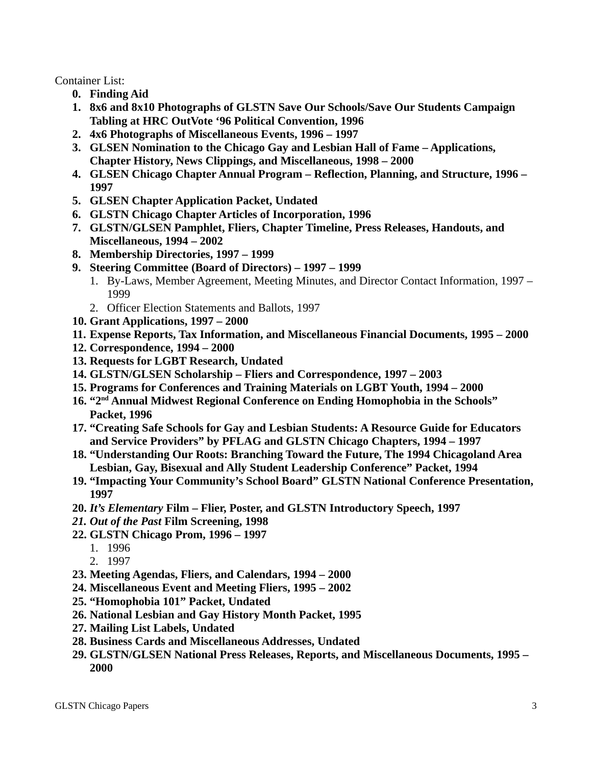Container List:

- **0. Finding Aid**
- **1. 8x6 and 8x10 Photographs of GLSTN Save Our Schools/Save Our Students Campaign Tabling at HRC OutVote '96 Political Convention, 1996**
- **2. 4x6 Photographs of Miscellaneous Events, 1996 1997**
- **3. GLSEN Nomination to the Chicago Gay and Lesbian Hall of Fame Applications, Chapter History, News Clippings, and Miscellaneous, 1998 – 2000**
- **4. GLSEN Chicago Chapter Annual Program Reflection, Planning, and Structure, 1996 1997**
- **5. GLSEN Chapter Application Packet, Undated**
- **6. GLSTN Chicago Chapter Articles of Incorporation, 1996**
- **7. GLSTN/GLSEN Pamphlet, Fliers, Chapter Timeline, Press Releases, Handouts, and Miscellaneous, 1994 – 2002**
- **8. Membership Directories, 1997 1999**
- **9. Steering Committee (Board of Directors) 1997 1999**
	- 1. By-Laws, Member Agreement, Meeting Minutes, and Director Contact Information, 1997 1999
	- 2. Officer Election Statements and Ballots, 1997
- **10. Grant Applications, 1997 2000**
- **11. Expense Reports, Tax Information, and Miscellaneous Financial Documents, 1995 2000**
- **12. Correspondence, 1994 2000**
- **13. Requests for LGBT Research, Undated**
- **14. GLSTN/GLSEN Scholarship Fliers and Correspondence, 1997 2003**
- **15. Programs for Conferences and Training Materials on LGBT Youth, 1994 2000**
- **16. "2nd Annual Midwest Regional Conference on Ending Homophobia in the Schools" Packet, 1996**
- **17. "Creating Safe Schools for Gay and Lesbian Students: A Resource Guide for Educators and Service Providers" by PFLAG and GLSTN Chicago Chapters, 1994 – 1997**
- **18. "Understanding Our Roots: Branching Toward the Future, The 1994 Chicagoland Area Lesbian, Gay, Bisexual and Ally Student Leadership Conference" Packet, 1994**
- **19. "Impacting Your Community's School Board" GLSTN National Conference Presentation, 1997**
- **20.** *It's Elementary* **Film Flier, Poster, and GLSTN Introductory Speech, 1997**
- *21. Out of the Past* **Film Screening, 1998**
- **22. GLSTN Chicago Prom, 1996 1997**
	- 1. 1996
	- 2. 1997
- **23. Meeting Agendas, Fliers, and Calendars, 1994 2000**
- **24. Miscellaneous Event and Meeting Fliers, 1995 2002**
- **25. "Homophobia 101" Packet, Undated**
- **26. National Lesbian and Gay History Month Packet, 1995**
- **27. Mailing List Labels, Undated**
- **28. Business Cards and Miscellaneous Addresses, Undated**
- **29. GLSTN/GLSEN National Press Releases, Reports, and Miscellaneous Documents, 1995 2000**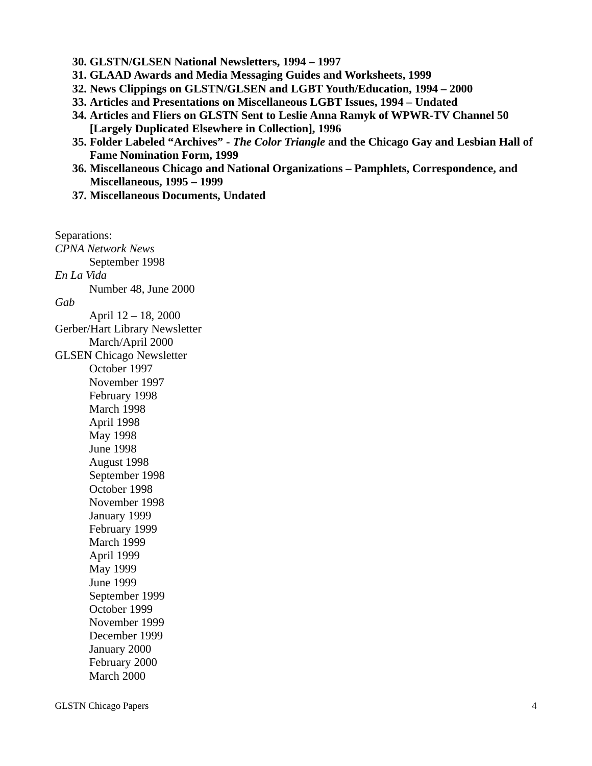- **30. GLSTN/GLSEN National Newsletters, 1994 1997**
- **31. GLAAD Awards and Media Messaging Guides and Worksheets, 1999**
- **32. News Clippings on GLSTN/GLSEN and LGBT Youth/Education, 1994 2000**
- **33. Articles and Presentations on Miscellaneous LGBT Issues, 1994 Undated**
- **34. Articles and Fliers on GLSTN Sent to Leslie Anna Ramyk of WPWR-TV Channel 50 [Largely Duplicated Elsewhere in Collection], 1996**
- **35. Folder Labeled "Archives"** *The Color Triangle* **and the Chicago Gay and Lesbian Hall of Fame Nomination Form, 1999**
- **36. Miscellaneous Chicago and National Organizations Pamphlets, Correspondence, and Miscellaneous, 1995 – 1999**
- **37. Miscellaneous Documents, Undated**

Separations: *CPNA Network News* September 1998 *En La Vida* Number 48, June 2000 *Gab* April 12 – 18, 2000 Gerber/Hart Library Newsletter March/April 2000 GLSEN Chicago Newsletter October 1997 November 1997 February 1998 March 1998 April 1998 May 1998 June 1998 August 1998 September 1998 October 1998 November 1998 January 1999 February 1999 March 1999 April 1999 May 1999 June 1999 September 1999 October 1999 November 1999 December 1999 January 2000 February 2000 March 2000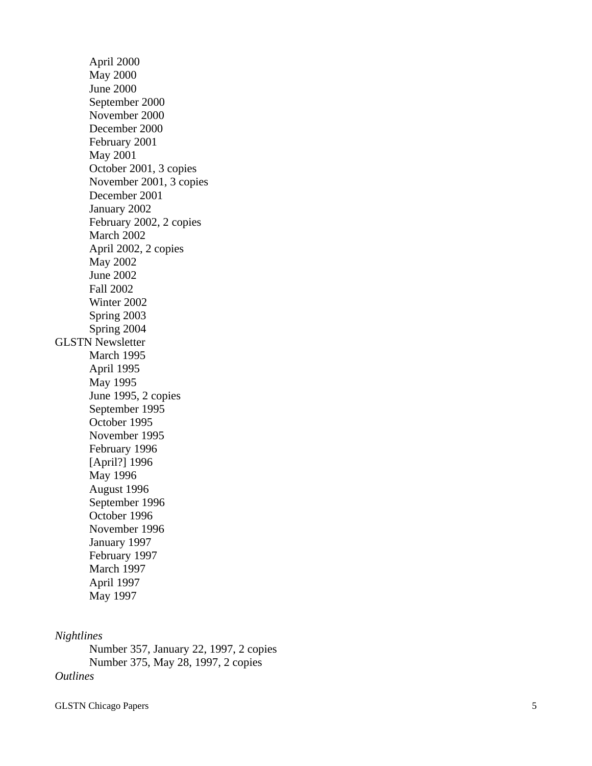April 2000 May 2000 June 2000 September 2000 November 2000 December 2000 February 2001 May 2001 October 2001, 3 copies November 2001, 3 copies December 2001 January 2002 February 2002, 2 copies March 2002 April 2002, 2 copies May 2002 June 2002 Fall 2002 Winter 2002 Spring 2003 Spring 2004 GLSTN Newsletter March 1995 April 1995 May 1995 June 1995, 2 copies September 1995 October 1995 November 1995 February 1996 [April?] 1996 May 1996 August 1996 September 1996 October 1996 November 1996 January 1997 February 1997 March 1997 April 1997 May 1997

## *Nightlines*

Number 357, January 22, 1997, 2 copies Number 375, May 28, 1997, 2 copies *Outlines*